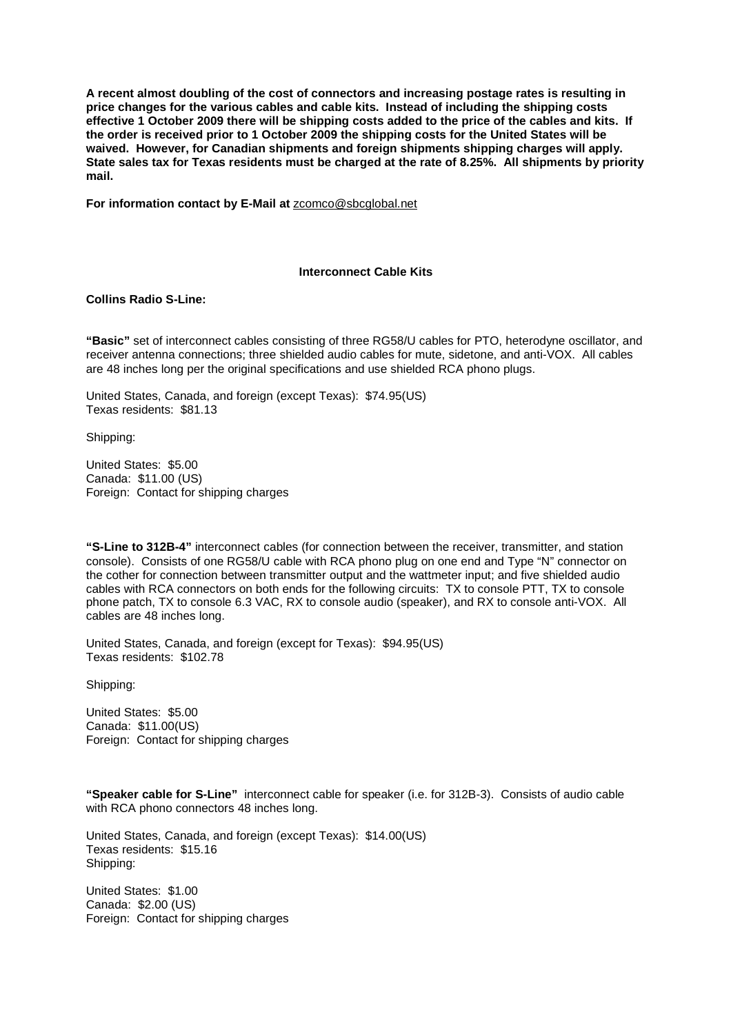**A recent almost doubling of the cost of connectors and increasing postage rates is resulting in price changes for the various cables and cable kits. Instead of including the shipping costs effective 1 October 2009 there will be shipping costs added to the price of the cables and kits. If the order is received prior to 1 October 2009 the shipping costs for the United States will be waived. However, for Canadian shipments and foreign shipments shipping charges will apply. State sales tax for Texas residents must be charged at the rate of 8.25%. All shipments by priority mail.** 

**For information contact by E-Mail at** zcomco@sbcglobal.net

## **Interconnect Cable Kits**

# **Collins Radio S-Line:**

**"Basic"** set of interconnect cables consisting of three RG58/U cables for PTO, heterodyne oscillator, and receiver antenna connections; three shielded audio cables for mute, sidetone, and anti-VOX. All cables are 48 inches long per the original specifications and use shielded RCA phono plugs.

United States, Canada, and foreign (except Texas): \$74.95(US) Texas residents: \$81.13

Shipping:

United States: \$5.00 Canada: \$11.00 (US) Foreign: Contact for shipping charges

**"S-Line to 312B-4"** interconnect cables (for connection between the receiver, transmitter, and station console). Consists of one RG58/U cable with RCA phono plug on one end and Type "N" connector on the cother for connection between transmitter output and the wattmeter input; and five shielded audio cables with RCA connectors on both ends for the following circuits: TX to console PTT, TX to console phone patch, TX to console 6.3 VAC, RX to console audio (speaker), and RX to console anti-VOX. All cables are 48 inches long.

United States, Canada, and foreign (except for Texas): \$94.95(US) Texas residents: \$102.78

Shipping:

United States: \$5.00 Canada: \$11.00(US) Foreign: Contact for shipping charges

**"Speaker cable for S-Line"** interconnect cable for speaker (i.e. for 312B-3). Consists of audio cable with RCA phono connectors 48 inches long.

United States, Canada, and foreign (except Texas): \$14.00(US) Texas residents: \$15.16 Shipping:

United States: \$1.00 Canada: \$2.00 (US) Foreign: Contact for shipping charges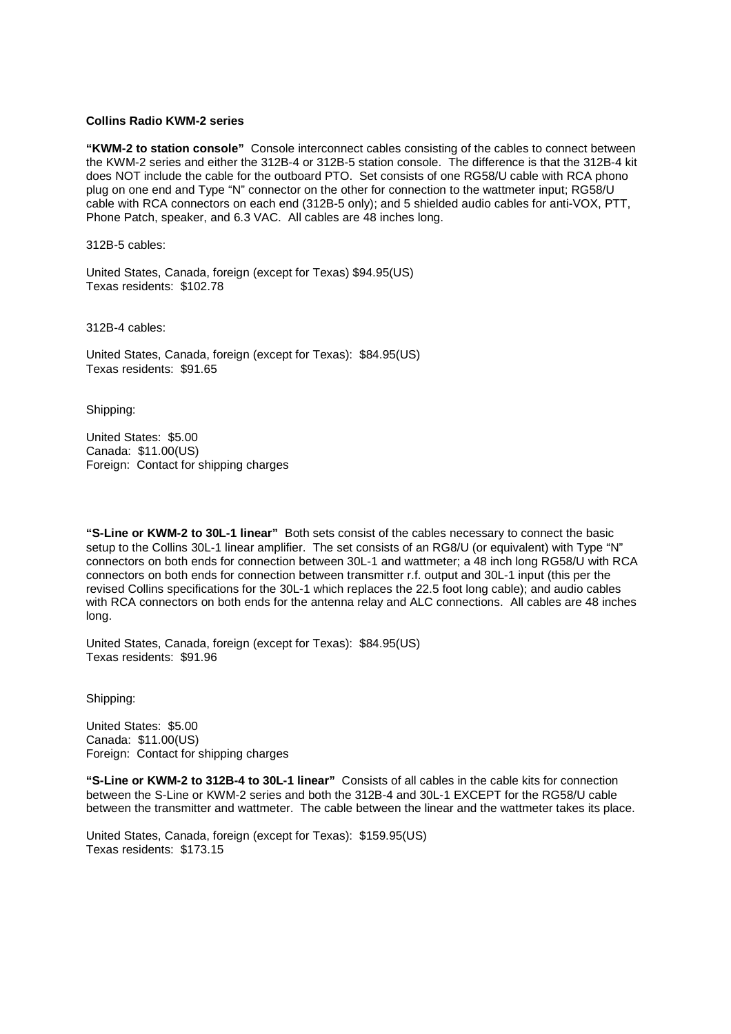## **Collins Radio KWM-2 series**

**"KWM-2 to station console"** Console interconnect cables consisting of the cables to connect between the KWM-2 series and either the 312B-4 or 312B-5 station console. The difference is that the 312B-4 kit does NOT include the cable for the outboard PTO. Set consists of one RG58/U cable with RCA phono plug on one end and Type "N" connector on the other for connection to the wattmeter input; RG58/U cable with RCA connectors on each end (312B-5 only); and 5 shielded audio cables for anti-VOX, PTT, Phone Patch, speaker, and 6.3 VAC. All cables are 48 inches long.

312B-5 cables:

United States, Canada, foreign (except for Texas) \$94.95(US) Texas residents: \$102.78

312B-4 cables:

United States, Canada, foreign (except for Texas): \$84.95(US) Texas residents: \$91.65

Shipping:

United States: \$5.00 Canada: \$11.00(US) Foreign: Contact for shipping charges

**"S-Line or KWM-2 to 30L-1 linear"** Both sets consist of the cables necessary to connect the basic setup to the Collins 30L-1 linear amplifier. The set consists of an RG8/U (or equivalent) with Type "N" connectors on both ends for connection between 30L-1 and wattmeter; a 48 inch long RG58/U with RCA connectors on both ends for connection between transmitter r.f. output and 30L-1 input (this per the revised Collins specifications for the 30L-1 which replaces the 22.5 foot long cable); and audio cables with RCA connectors on both ends for the antenna relay and ALC connections. All cables are 48 inches long.

United States, Canada, foreign (except for Texas): \$84.95(US) Texas residents: \$91.96

Shipping:

United States: \$5.00 Canada: \$11.00(US) Foreign: Contact for shipping charges

**"S-Line or KWM-2 to 312B-4 to 30L-1 linear"** Consists of all cables in the cable kits for connection between the S-Line or KWM-2 series and both the 312B-4 and 30L-1 EXCEPT for the RG58/U cable between the transmitter and wattmeter. The cable between the linear and the wattmeter takes its place.

United States, Canada, foreign (except for Texas): \$159.95(US) Texas residents: \$173.15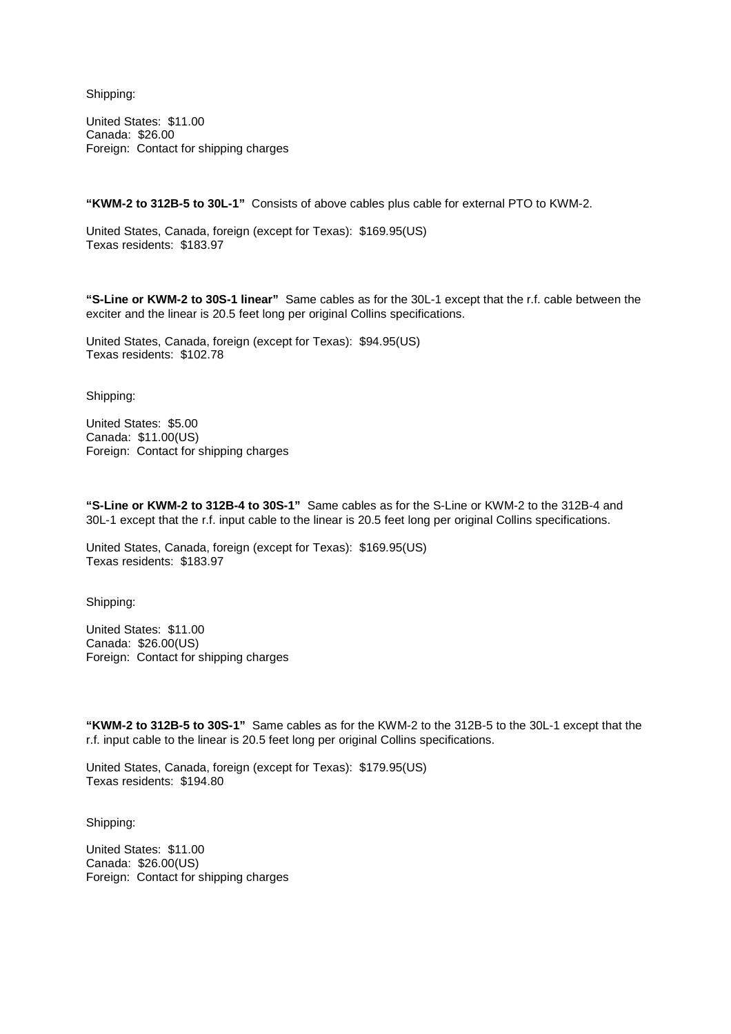Shipping:

United States: \$11.00 Canada: \$26.00 Foreign: Contact for shipping charges

**"KWM-2 to 312B-5 to 30L-1"** Consists of above cables plus cable for external PTO to KWM-2.

United States, Canada, foreign (except for Texas): \$169.95(US) Texas residents: \$183.97

**"S-Line or KWM-2 to 30S-1 linear"** Same cables as for the 30L-1 except that the r.f. cable between the exciter and the linear is 20.5 feet long per original Collins specifications.

United States, Canada, foreign (except for Texas): \$94.95(US) Texas residents: \$102.78

Shipping:

United States: \$5.00 Canada: \$11.00(US) Foreign: Contact for shipping charges

**"S-Line or KWM-2 to 312B-4 to 30S-1"** Same cables as for the S-Line or KWM-2 to the 312B-4 and 30L-1 except that the r.f. input cable to the linear is 20.5 feet long per original Collins specifications.

United States, Canada, foreign (except for Texas): \$169.95(US) Texas residents: \$183.97

Shipping:

United States: \$11.00 Canada: \$26.00(US) Foreign: Contact for shipping charges

**"KWM-2 to 312B-5 to 30S-1"** Same cables as for the KWM-2 to the 312B-5 to the 30L-1 except that the r.f. input cable to the linear is 20.5 feet long per original Collins specifications.

United States, Canada, foreign (except for Texas): \$179.95(US) Texas residents: \$194.80

Shipping:

United States: \$11.00 Canada: \$26.00(US) Foreign: Contact for shipping charges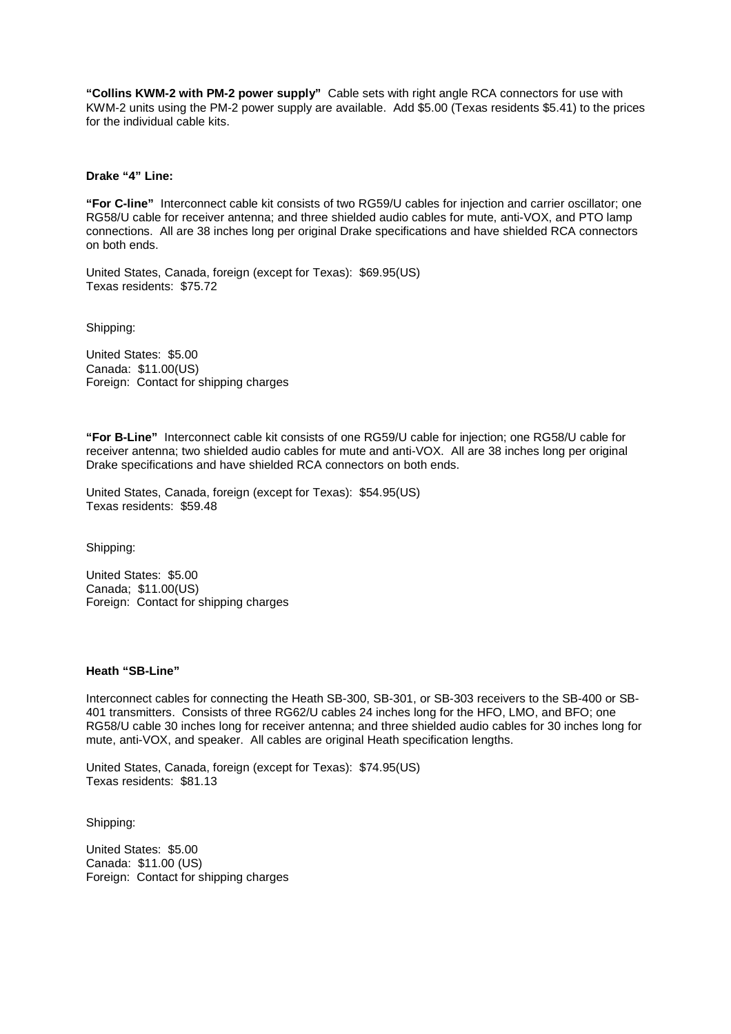**"Collins KWM-2 with PM-2 power supply"** Cable sets with right angle RCA connectors for use with KWM-2 units using the PM-2 power supply are available. Add \$5.00 (Texas residents \$5.41) to the prices for the individual cable kits.

## **Drake "4" Line:**

**"For C-line"** Interconnect cable kit consists of two RG59/U cables for injection and carrier oscillator; one RG58/U cable for receiver antenna; and three shielded audio cables for mute, anti-VOX, and PTO lamp connections. All are 38 inches long per original Drake specifications and have shielded RCA connectors on both ends.

United States, Canada, foreign (except for Texas): \$69.95(US) Texas residents: \$75.72

Shipping:

United States: \$5.00 Canada: \$11.00(US) Foreign: Contact for shipping charges

**"For B-Line"** Interconnect cable kit consists of one RG59/U cable for injection; one RG58/U cable for receiver antenna; two shielded audio cables for mute and anti-VOX. All are 38 inches long per original Drake specifications and have shielded RCA connectors on both ends.

United States, Canada, foreign (except for Texas): \$54.95(US) Texas residents: \$59.48

Shipping:

United States: \$5.00 Canada; \$11.00(US) Foreign: Contact for shipping charges

# **Heath "SB-Line"**

Interconnect cables for connecting the Heath SB-300, SB-301, or SB-303 receivers to the SB-400 or SB-401 transmitters. Consists of three RG62/U cables 24 inches long for the HFO, LMO, and BFO; one RG58/U cable 30 inches long for receiver antenna; and three shielded audio cables for 30 inches long for mute, anti-VOX, and speaker. All cables are original Heath specification lengths.

United States, Canada, foreign (except for Texas): \$74.95(US) Texas residents: \$81.13

Shipping:

United States: \$5.00 Canada: \$11.00 (US) Foreign: Contact for shipping charges